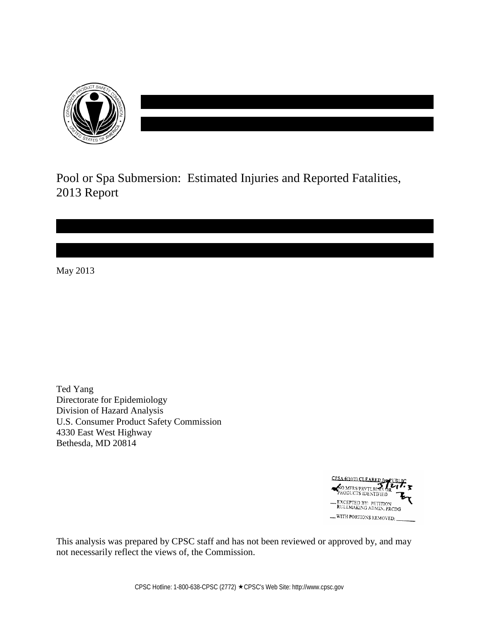

Pool or Spa Submersion: Estimated Injuries and Reported Fatalities, 2013 Report

May 2013

Ted Yang Directorate for Epidemiology Division of Hazard Analysis U.S. Consumer Product Safety Commission 4330 East West Highway Bethesda, MD 20814



This analysis was prepared by CPSC staff and has not been reviewed or approved by, and may not necessarily reflect the views of, the Commission.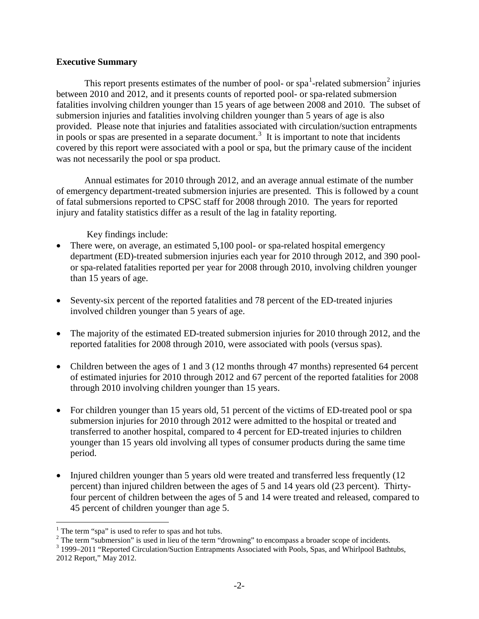## **Executive Summary**

This report presents estimates of the number of pool- or spa<sup>[1](#page-1-0)</sup>-related submersion<sup>[2](#page-1-1)</sup> injuries between 2010 and 2012, and it presents counts of reported pool- or spa-related submersion fatalities involving children younger than 15 years of age between 2008 and 2010. The subset of submersion injuries and fatalities involving children younger than 5 years of age is also provided. Please note that injuries and fatalities associated with circulation/suction entrapments in pools or spas are presented in a separate document.<sup>[3](#page-1-2)</sup> It is important to note that incidents covered by this report were associated with a pool or spa, but the primary cause of the incident was not necessarily the pool or spa product.

Annual estimates for 2010 through 2012, and an average annual estimate of the number of emergency department-treated submersion injuries are presented. This is followed by a count of fatal submersions reported to CPSC staff for 2008 through 2010. The years for reported injury and fatality statistics differ as a result of the lag in fatality reporting.

Key findings include:

- There were, on average, an estimated 5,100 pool- or spa-related hospital emergency department (ED)-treated submersion injuries each year for 2010 through 2012, and 390 poolor spa-related fatalities reported per year for 2008 through 2010, involving children younger than 15 years of age.
- Seventy-six percent of the reported fatalities and 78 percent of the ED-treated injuries involved children younger than 5 years of age.
- The majority of the estimated ED-treated submersion injuries for 2010 through 2012, and the reported fatalities for 2008 through 2010, were associated with pools (versus spas).
- Children between the ages of 1 and 3 (12 months through 47 months) represented 64 percent of estimated injuries for 2010 through 2012 and 67 percent of the reported fatalities for 2008 through 2010 involving children younger than 15 years.
- For children younger than 15 years old, 51 percent of the victims of ED-treated pool or spa submersion injuries for 2010 through 2012 were admitted to the hospital or treated and transferred to another hospital, compared to 4 percent for ED-treated injuries to children younger than 15 years old involving all types of consumer products during the same time period.
- Injured children younger than 5 years old were treated and transferred less frequently (12) percent) than injured children between the ages of 5 and 14 years old (23 percent). Thirtyfour percent of children between the ages of 5 and 14 were treated and released, compared to 45 percent of children younger than age 5.

 $\overline{a}$ 

<span id="page-1-0"></span><sup>&</sup>lt;sup>1</sup> The term "spa" is used to refer to spas and hot tubs.<br><sup>2</sup> The term "submersion" is used in lieu of the term "drowning" to encompass a broader scope of incidents.

<span id="page-1-2"></span><span id="page-1-1"></span> $3$  1999–2011 "Reported Circulation/Suction Entrapments Associated with Pools, Spas, and Whirlpool Bathtubs, 2012 Report," May 2012.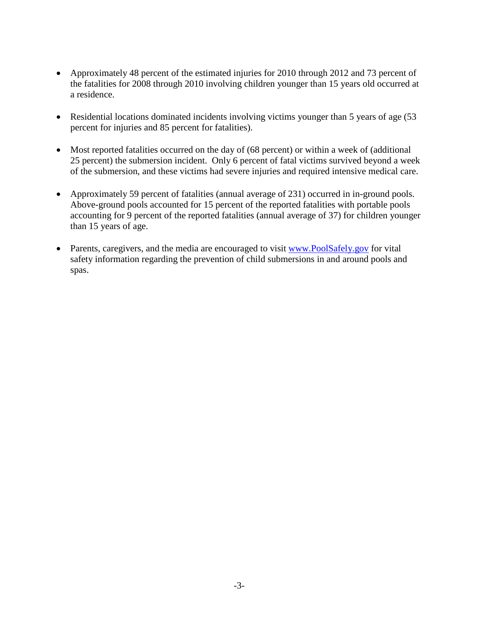- Approximately 48 percent of the estimated injuries for 2010 through 2012 and 73 percent of the fatalities for 2008 through 2010 involving children younger than 15 years old occurred at a residence.
- Residential locations dominated incidents involving victims younger than 5 years of age (53) percent for injuries and 85 percent for fatalities).
- Most reported fatalities occurred on the day of (68 percent) or within a week of (additional 25 percent) the submersion incident. Only 6 percent of fatal victims survived beyond a week of the submersion, and these victims had severe injuries and required intensive medical care.
- Approximately 59 percent of fatalities (annual average of 231) occurred in in-ground pools. Above-ground pools accounted for 15 percent of the reported fatalities with portable pools accounting for 9 percent of the reported fatalities (annual average of 37) for children younger than 15 years of age.
- Parents, caregivers, and the media are encouraged to visit [www.PoolSafely.gov](http://www.poolsafely.gov/) for vital safety information regarding the prevention of child submersions in and around pools and spas.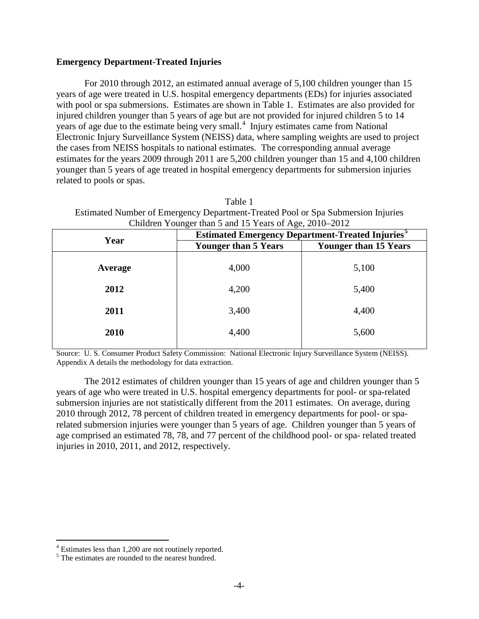## **Emergency Department-Treated Injuries**

For 2010 through 2012, an estimated annual average of 5,100 children younger than 15 years of age were treated in U.S. hospital emergency departments (EDs) for injuries associated with pool or spa submersions. Estimates are shown in Table 1. Estimates are also provided for injured children younger than 5 years of age but are not provided for injured children 5 to 14 years of age due to the estimate being very small.<sup>[4](#page-3-0)</sup> Injury estimates came from National Electronic Injury Surveillance System (NEISS) data, where sampling weights are used to project the cases from NEISS hospitals to national estimates. The corresponding annual average estimates for the years 2009 through 2011 are 5,200 children younger than 15 and 4,100 children younger than 5 years of age treated in hospital emergency departments for submersion injuries related to pools or spas.

Table 1 Estimated Number of Emergency Department-Treated Pool or Spa Submersion Injuries Children Younger than 5 and 15 Years of Age, 2010–2012

| Year    | Contracted Touriger than 5 and 15 Teams of Age, 2010–2012<br><b>Estimated Emergency Department-Treated Injuries</b> |                              |  |
|---------|---------------------------------------------------------------------------------------------------------------------|------------------------------|--|
|         | <b>Younger than 5 Years</b>                                                                                         | <b>Younger than 15 Years</b> |  |
| Average | 4,000                                                                                                               | 5,100                        |  |
| 2012    | 4,200                                                                                                               | 5,400                        |  |
| 2011    | 3,400                                                                                                               | 4,400                        |  |
| 2010    | 4,400                                                                                                               | 5,600                        |  |
|         |                                                                                                                     |                              |  |

Source: U. S. Consumer Product Safety Commission: National Electronic Injury Surveillance System (NEISS). Appendix A details the methodology for data extraction.

The 2012 estimates of children younger than 15 years of age and children younger than 5 years of age who were treated in U.S. hospital emergency departments for pool- or spa-related submersion injuries are not statistically different from the 2011 estimates. On average, during 2010 through 2012, 78 percent of children treated in emergency departments for pool- or sparelated submersion injuries were younger than 5 years of age. Children younger than 5 years of age comprised an estimated 78, 78, and 77 percent of the childhood pool- or spa- related treated injuries in 2010, 2011, and 2012, respectively.

<span id="page-3-0"></span> $4$  Estimates less than 1,200 are not routinely reported.

<span id="page-3-1"></span><sup>&</sup>lt;sup>5</sup> The estimates are rounded to the nearest hundred.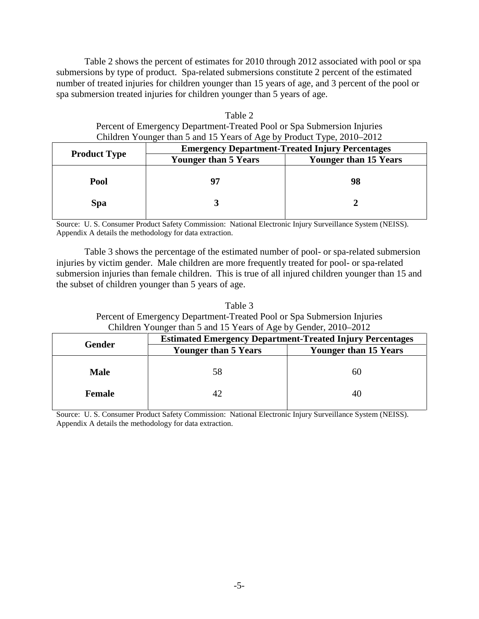Table 2 shows the percent of estimates for 2010 through 2012 associated with pool or spa submersions by type of product. Spa-related submersions constitute 2 percent of the estimated number of treated injuries for children younger than 15 years of age, and 3 percent of the pool or spa submersion treated injuries for children younger than 5 years of age.

| Table 2                                                                 |
|-------------------------------------------------------------------------|
| Percent of Emergency Department-Treated Pool or Spa Submersion Injuries |
| Children Younger than 5 and 15 Years of Age by Product Type, 2010–2012  |

|                     | <b>Emergency Department-Treated Injury Percentages</b> |                              |  |  |
|---------------------|--------------------------------------------------------|------------------------------|--|--|
| <b>Product Type</b> | <b>Younger than 5 Years</b>                            | <b>Younger than 15 Years</b> |  |  |
| Pool                | 97                                                     | 98                           |  |  |
| <b>Spa</b>          |                                                        |                              |  |  |

Source: U. S. Consumer Product Safety Commission: National Electronic Injury Surveillance System (NEISS). Appendix A details the methodology for data extraction.

 Table 3 shows the percentage of the estimated number of pool- or spa-related submersion injuries by victim gender. Male children are more frequently treated for pool- or spa-related submersion injuries than female children. This is true of all injured children younger than 15 and the subset of children younger than 5 years of age.

Table 3 Percent of Emergency Department-Treated Pool or Spa Submersion Injuries Children Younger than 5 and 15 Years of Age by Gender, 2010–2012

|             | <b>Estimated Emergency Department-Treated Injury Percentages</b> |                              |  |  |
|-------------|------------------------------------------------------------------|------------------------------|--|--|
| Gender      | <b>Younger than 5 Years</b>                                      | <b>Younger than 15 Years</b> |  |  |
| <b>Male</b> | 58                                                               | 60                           |  |  |
| Female      |                                                                  | 40                           |  |  |

Source: U. S. Consumer Product Safety Commission: National Electronic Injury Surveillance System (NEISS). Appendix A details the methodology for data extraction.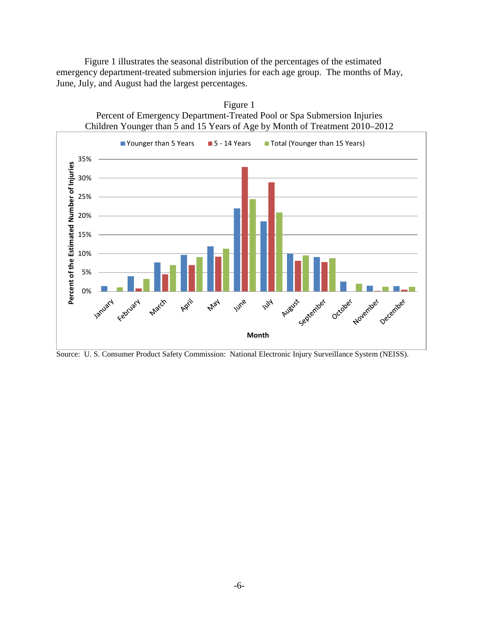Figure 1 illustrates the seasonal distribution of the percentages of the estimated emergency department-treated submersion injuries for each age group. The months of May, June, July, and August had the largest percentages.



Source: U. S. Consumer Product Safety Commission: National Electronic Injury Surveillance System (NEISS).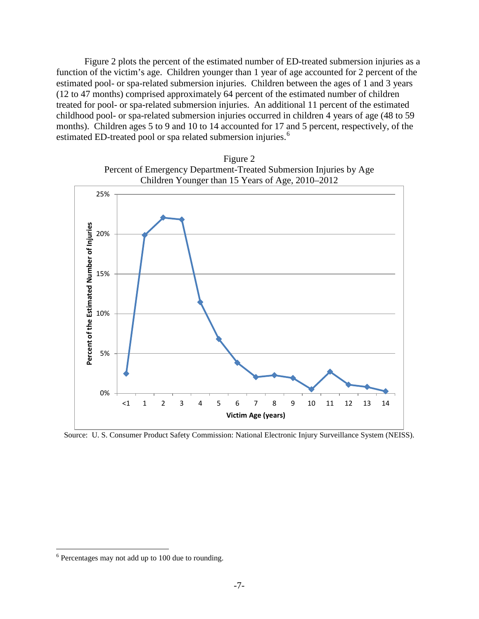Figure 2 plots the percent of the estimated number of ED-treated submersion injuries as a function of the victim's age. Children younger than 1 year of age accounted for 2 percent of the estimated pool- or spa-related submersion injuries. Children between the ages of 1 and 3 years (12 to 47 months) comprised approximately 64 percent of the estimated number of children treated for pool- or spa-related submersion injuries. An additional 11 percent of the estimated childhood pool- or spa-related submersion injuries occurred in children 4 years of age (48 to 59 months). Children ages 5 to 9 and 10 to 14 accounted for 17 and 5 percent, respectively, of the estimated ED-treated pool or spa related submersion injuries.<sup>[6](#page-6-0)</sup>





Source: U. S. Consumer Product Safety Commission: National Electronic Injury Surveillance System (NEISS).

<span id="page-6-0"></span><sup>6</sup> Percentages may not add up to 100 due to rounding.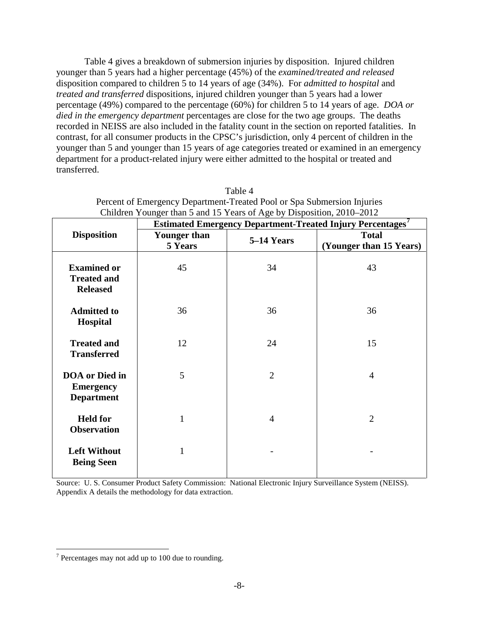Table 4 gives a breakdown of submersion injuries by disposition. Injured children younger than 5 years had a higher percentage (45%) of the *examined/treated and released* disposition compared to children 5 to 14 years of age (34%). For *admitted to hospital* and *treated and transferred* dispositions, injured children younger than 5 years had a lower percentage (49%) compared to the percentage (60%) for children 5 to 14 years of age. *DOA or died in the emergency department* percentages are close for the two age groups. The deaths recorded in NEISS are also included in the fatality count in the section on reported fatalities. In contrast, for all consumer products in the CPSC's jurisdiction, only 4 percent of children in the younger than 5 and younger than 15 years of age categories treated or examined in an emergency department for a product-related injury were either admitted to the hospital or treated and transferred.

| Children Younger than 5 and 15 Years of Age by Disposition, 2010–2012 |                                                                  |                |                                         |  |  |
|-----------------------------------------------------------------------|------------------------------------------------------------------|----------------|-----------------------------------------|--|--|
|                                                                       | <b>Estimated Emergency Department-Treated Injury Percentages</b> |                |                                         |  |  |
| <b>Disposition</b>                                                    | <b>Younger than</b><br>5 Years                                   | 5-14 Years     | <b>Total</b><br>(Younger than 15 Years) |  |  |
| <b>Examined or</b><br><b>Treated and</b><br><b>Released</b>           | 45                                                               | 34             | 43                                      |  |  |
| <b>Admitted to</b><br><b>Hospital</b>                                 | 36                                                               | 36             | 36                                      |  |  |
| <b>Treated and</b><br><b>Transferred</b>                              | 12                                                               | 24             | 15                                      |  |  |
| <b>DOA</b> or Died in<br><b>Emergency</b><br><b>Department</b>        | 5                                                                | $\overline{2}$ | $\overline{4}$                          |  |  |
| <b>Held for</b><br><b>Observation</b>                                 |                                                                  | 4              | $\overline{2}$                          |  |  |
| <b>Left Without</b><br><b>Being Seen</b>                              | $\mathbf{1}$                                                     |                |                                         |  |  |

Table 4 Percent of Emergency Department-Treated Pool or Spa Submersion Injuries Children Younger than 5 and 15 Years of Age by Disposition, 2010–2012

Source: U. S. Consumer Product Safety Commission: National Electronic Injury Surveillance System (NEISS). Appendix A details the methodology for data extraction.

<span id="page-7-0"></span> $7$  Percentages may not add up to 100 due to rounding.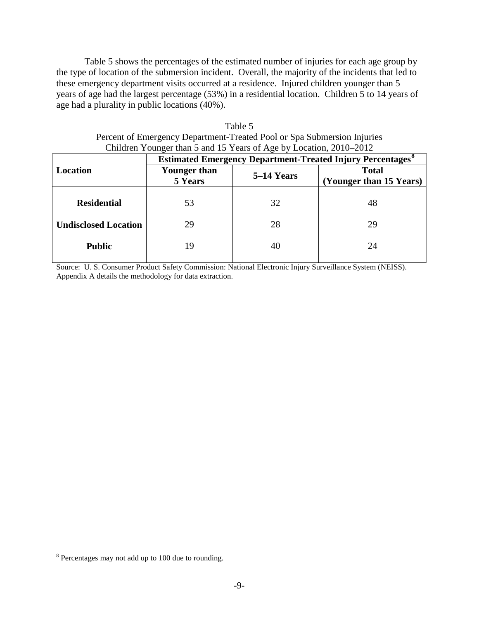Table 5 shows the percentages of the estimated number of injuries for each age group by the type of location of the submersion incident. Overall, the majority of the incidents that led to these emergency department visits occurred at a residence. Injured children younger than 5 years of age had the largest percentage (53%) in a residential location. Children 5 to 14 years of age had a plurality in public locations (40%).

| Children Younger than 5 and 15 Years of Age by Location, 2010–2012 |                                                                               |            |                                         |  |
|--------------------------------------------------------------------|-------------------------------------------------------------------------------|------------|-----------------------------------------|--|
|                                                                    | <b>Estimated Emergency Department-Treated Injury Percentages</b> <sup>8</sup> |            |                                         |  |
| Location                                                           | <b>Younger than</b><br>5 Years                                                | 5–14 Years | <b>Total</b><br>(Younger than 15 Years) |  |
| <b>Residential</b>                                                 | 53                                                                            | 32         | 48                                      |  |
| <b>Undisclosed Location</b>                                        | 29                                                                            | 28         | 29                                      |  |
| <b>Public</b>                                                      | 19                                                                            | 40         | 24                                      |  |

| Table 5                                                                 |
|-------------------------------------------------------------------------|
| Percent of Emergency Department-Treated Pool or Spa Submersion Injuries |
| Children Younger than 5 and 15 Years of Age by Location, 2010–2012      |

Source: U. S. Consumer Product Safety Commission: National Electronic Injury Surveillance System (NEISS). Appendix A details the methodology for data extraction.

<span id="page-8-0"></span><sup>8</sup> Percentages may not add up to 100 due to rounding.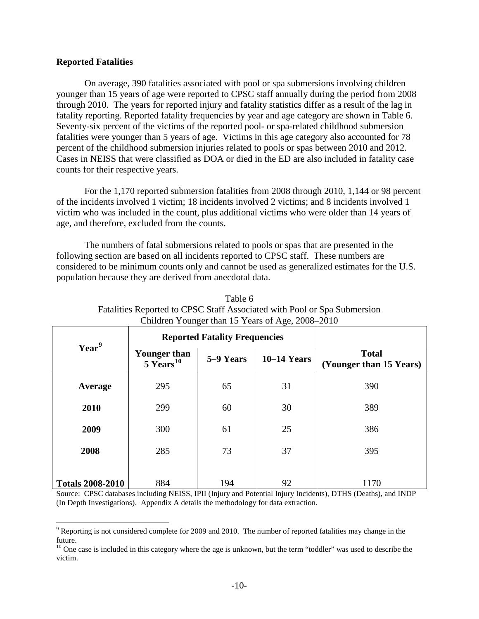## **Reported Fatalities**

 $\overline{a}$ 

On average, 390 fatalities associated with pool or spa submersions involving children younger than 15 years of age were reported to CPSC staff annually during the period from 2008 through 2010. The years for reported injury and fatality statistics differ as a result of the lag in fatality reporting. Reported fatality frequencies by year and age category are shown in Table 6. Seventy-six percent of the victims of the reported pool- or spa-related childhood submersion fatalities were younger than 5 years of age. Victims in this age category also accounted for 78 percent of the childhood submersion injuries related to pools or spas between 2010 and 2012. Cases in NEISS that were classified as DOA or died in the ED are also included in fatality case counts for their respective years.

For the 1,170 reported submersion fatalities from 2008 through 2010, 1,144 or 98 percent of the incidents involved 1 victim; 18 incidents involved 2 victims; and 8 incidents involved 1 victim who was included in the count, plus additional victims who were older than 14 years of age, and therefore, excluded from the counts.

The numbers of fatal submersions related to pools or spas that are presented in the following section are based on all incidents reported to CPSC staff. These numbers are considered to be minimum counts only and cannot be used as generalized estimates for the U.S. population because they are derived from anecdotal data.

| <b>Reported Fatality Frequencies</b> |                                |               |                                         |
|--------------------------------------|--------------------------------|---------------|-----------------------------------------|
| <b>Younger than</b>                  | 5–9 Years                      | $10-14$ Years | <b>Total</b><br>(Younger than 15 Years) |
| 295                                  | 65                             | 31            | 390                                     |
| 299                                  | 60                             | 30            | 389                                     |
| 300                                  | 61                             | 25            | 386                                     |
| 285                                  | 73                             | 37            | 395                                     |
|                                      |                                |               | 1170                                    |
|                                      | $5$ Years <sup>10</sup><br>884 | 194           | 92                                      |

| Table 6                                                                  |
|--------------------------------------------------------------------------|
| Fatalities Reported to CPSC Staff Associated with Pool or Spa Submersion |
| Children Younger than 15 Years of Age, 2008–2010                         |

Source: CPSC databases including NEISS, IPII (Injury and Potential Injury Incidents), DTHS (Deaths), and INDP (In Depth Investigations). Appendix A details the methodology for data extraction.

<span id="page-9-0"></span><sup>&</sup>lt;sup>9</sup> Reporting is not considered complete for 2009 and 2010. The number of reported fatalities may change in the future.

<span id="page-9-1"></span> $10$  One case is included in this category where the age is unknown, but the term "toddler" was used to describe the victim.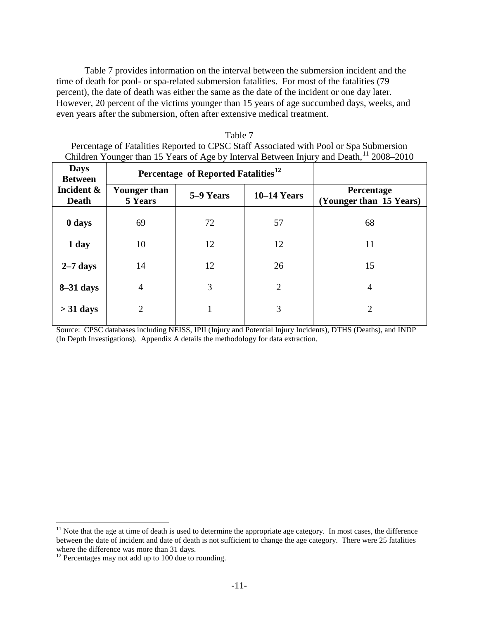Table 7 provides information on the interval between the submersion incident and the time of death for pool- or spa-related submersion fatalities. For most of the fatalities (79 percent), the date of death was either the same as the date of the incident or one day later. However, 20 percent of the victims younger than 15 years of age succumbed days, weeks, and even years after the submersion, often after extensive medical treatment.

| Table 7                                                                                             |
|-----------------------------------------------------------------------------------------------------|
| Percentage of Fatalities Reported to CPSC Staff Associated with Pool or Spa Submersion              |
| Children Younger than 15 Years of Age by Interval Between Injury and Death, <sup>11</sup> 2008–2010 |
|                                                                                                     |

┑

| <b>Days</b><br><b>Between</b> | Percentage of Reported Fatalities <sup>12</sup> |           |                |                                              |
|-------------------------------|-------------------------------------------------|-----------|----------------|----------------------------------------------|
| Incident &<br><b>Death</b>    | Younger than<br>5 Years                         | 5–9 Years | $10-14$ Years  | <b>Percentage</b><br>(Younger than 15 Years) |
| 0 days                        | 69                                              | 72        | 57             | 68                                           |
| 1 day                         | 10                                              | 12        | 12             | 11                                           |
| $2-7$ days                    | 14                                              | 12        | 26             | 15                                           |
| $8-31$ days                   | $\overline{4}$                                  | 3         | $\overline{2}$ | $\overline{4}$                               |
| $>$ 31 days                   | $\overline{2}$                                  |           | 3              | $\overline{2}$                               |
|                               |                                                 |           |                |                                              |

Source: CPSC databases including NEISS, IPII (Injury and Potential Injury Incidents), DTHS (Deaths), and INDP (In Depth Investigations). Appendix A details the methodology for data extraction.

<span id="page-10-0"></span> $11$  Note that the age at time of death is used to determine the appropriate age category. In most cases, the difference between the date of incident and date of death is not sufficient to change the age category. There were 25 fatalities where the difference was more than 31 days.

<span id="page-10-1"></span> $12$  Percentages may not add up to 100 due to rounding.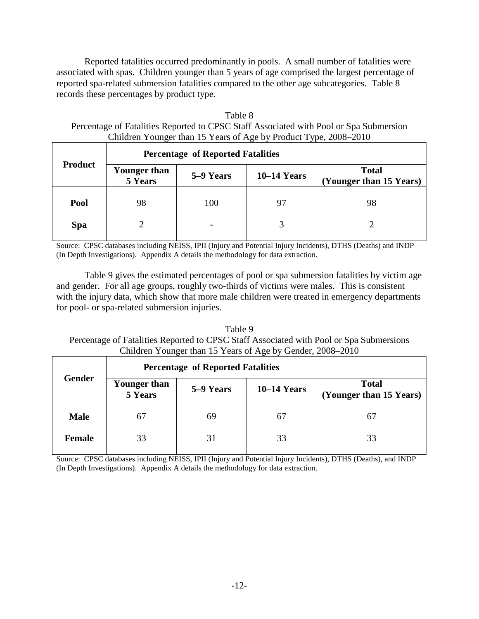Reported fatalities occurred predominantly in pools. A small number of fatalities were associated with spas. Children younger than 5 years of age comprised the largest percentage of reported spa-related submersion fatalities compared to the other age subcategories. Table 8 records these percentages by product type.

| Table 8                                                                                |
|----------------------------------------------------------------------------------------|
| Percentage of Fatalities Reported to CPSC Staff Associated with Pool or Spa Submersion |
| Children Younger than 15 Years of Age by Product Type, 2008–2010                       |

|                | <b>Percentage of Reported Fatalities</b> |           |               |                                         |
|----------------|------------------------------------------|-----------|---------------|-----------------------------------------|
| <b>Product</b> | Younger than<br>5 Years                  | 5–9 Years | $10-14$ Years | <b>Total</b><br>(Younger than 15 Years) |
| Pool           | 98                                       | 100       | 97            | 98                                      |
| <b>Spa</b>     |                                          |           |               |                                         |

Source: CPSC databases including NEISS, IPII (Injury and Potential Injury Incidents), DTHS (Deaths) and INDP (In Depth Investigations). Appendix A details the methodology for data extraction.

Table 9 gives the estimated percentages of pool or spa submersion fatalities by victim age and gender. For all age groups, roughly two-thirds of victims were males. This is consistent with the injury data, which show that more male children were treated in emergency departments for pool- or spa-related submersion injuries.

Table 9 Percentage of Fatalities Reported to CPSC Staff Associated with Pool or Spa Submersions Children Younger than 15 Years of Age by Gender, 2008–2010

|               | <b>Percentage of Reported Fatalities</b> |           |               |                                         |
|---------------|------------------------------------------|-----------|---------------|-----------------------------------------|
| <b>Gender</b> | <b>Younger than</b><br>5 Years           | 5–9 Years | $10-14$ Years | <b>Total</b><br>(Younger than 15 Years) |
| <b>Male</b>   | 67                                       | 69        | 67            | 67                                      |
| <b>Female</b> | 33                                       | 31        | 33            | 33                                      |

Source: CPSC databases including NEISS, IPII (Injury and Potential Injury Incidents), DTHS (Deaths), and INDP (In Depth Investigations). Appendix A details the methodology for data extraction.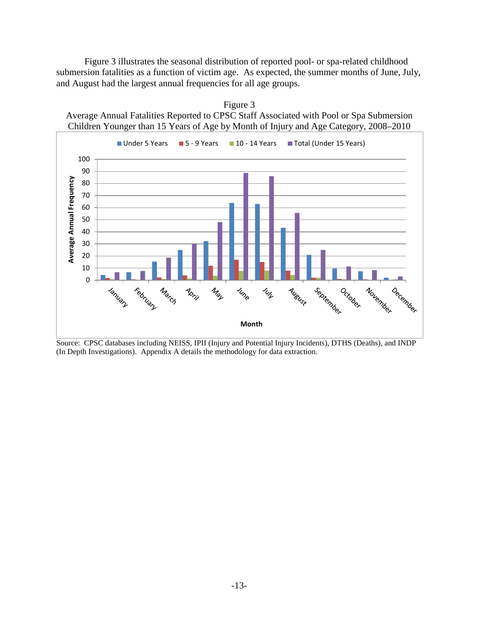Figure 3 illustrates the seasonal distribution of reported pool- or spa-related childhood submersion fatalities as a function of victim age. As expected, the summer months of June, July, and August had the largest annual frequencies for all age groups.

Figure 3



Source: CPSC databases including NEISS, IPII (Injury and Potential Injury Incidents), DTHS (Deaths), and INDP (In Depth Investigations). Appendix A details the methodology for data extraction.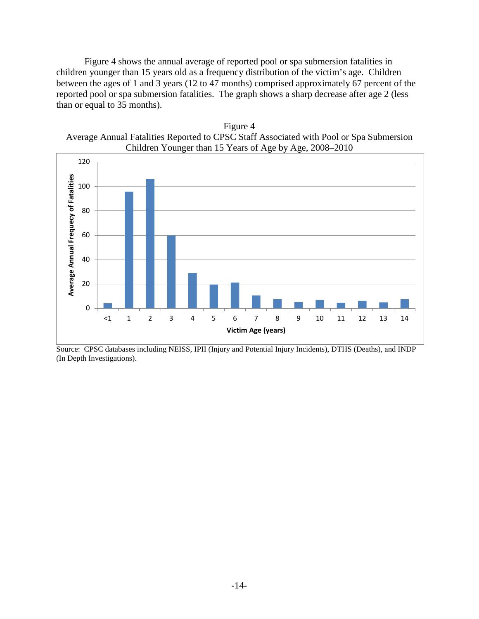Figure 4 shows the annual average of reported pool or spa submersion fatalities in children younger than 15 years old as a frequency distribution of the victim's age. Children between the ages of 1 and 3 years (12 to 47 months) comprised approximately 67 percent of the reported pool or spa submersion fatalities. The graph shows a sharp decrease after age 2 (less than or equal to 35 months).

Figure 4 Average Annual Fatalities Reported to CPSC Staff Associated with Pool or Spa Submersion Children Younger than 15 Years of Age by Age, 2008–2010



Source: CPSC databases including NEISS, IPII (Injury and Potential Injury Incidents), DTHS (Deaths), and INDP (In Depth Investigations).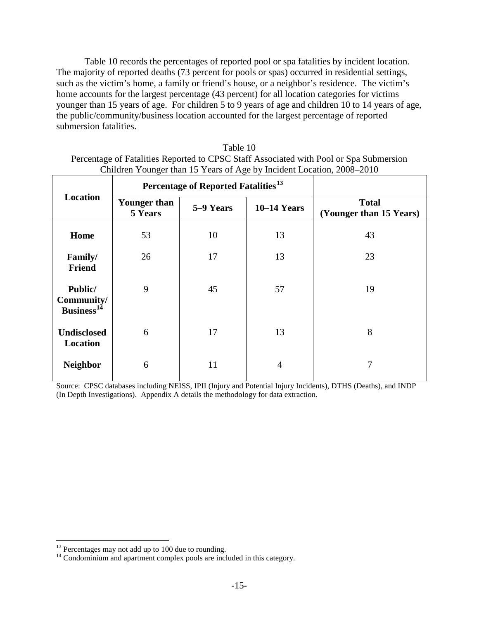Table 10 records the percentages of reported pool or spa fatalities by incident location. The majority of reported deaths (73 percent for pools or spas) occurred in residential settings, such as the victim's home, a family or friend's house, or a neighbor's residence. The victim's home accounts for the largest percentage (43 percent) for all location categories for victims younger than 15 years of age. For children 5 to 9 years of age and children 10 to 14 years of age, the public/community/business location accounted for the largest percentage of reported submersion fatalities.

| Chritical Touriger than 15 Tears of Age by Includin Location, 2006–2010 |                                |                                                 |                |                                         |
|-------------------------------------------------------------------------|--------------------------------|-------------------------------------------------|----------------|-----------------------------------------|
|                                                                         |                                | Percentage of Reported Fatalities <sup>13</sup> |                |                                         |
| Location                                                                | <b>Younger than</b><br>5 Years | 5–9 Years                                       | $10-14$ Years  | <b>Total</b><br>(Younger than 15 Years) |
| Home                                                                    | 53                             | 10                                              | 13             | 43                                      |
| Family/<br><b>Friend</b>                                                | 26                             | 17                                              | 13             | 23                                      |
| Public/<br>Community/<br>Business <sup>14</sup>                         | 9                              | 45                                              | 57             | 19                                      |
| <b>Undisclosed</b><br>Location                                          | 6                              | 17                                              | 13             | 8                                       |
| <b>Neighbor</b>                                                         | 6                              | 11                                              | $\overline{4}$ | 7                                       |

Table 10 Percentage of Fatalities Reported to CPSC Staff Associated with Pool or Spa Submersion Children Younger than 15 Years of Age by Incident Location, 2008–2010

Source: CPSC databases including NEISS, IPII (Injury and Potential Injury Incidents), DTHS (Deaths), and INDP (In Depth Investigations). Appendix A details the methodology for data extraction.

<span id="page-14-0"></span> $13$  Percentages may not add up to 100 due to rounding.

<span id="page-14-1"></span><sup>&</sup>lt;sup>14</sup> Condominium and apartment complex pools are included in this category.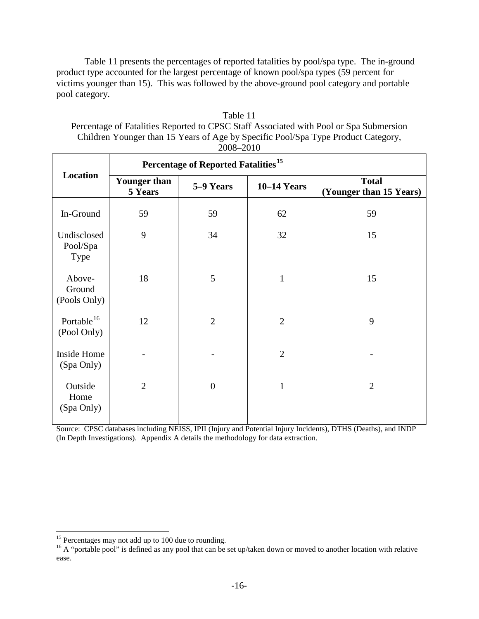Table 11 presents the percentages of reported fatalities by pool/spa type. The in-ground product type accounted for the largest percentage of known pool/spa types (59 percent for victims younger than 15). This was followed by the above-ground pool category and portable pool category.

| $2000 - 2010$                         |                                |                                                 |                    |                                         |
|---------------------------------------|--------------------------------|-------------------------------------------------|--------------------|-----------------------------------------|
|                                       |                                | Percentage of Reported Fatalities <sup>15</sup> |                    |                                         |
| Location                              | <b>Younger than</b><br>5 Years | 5-9 Years                                       | <b>10-14 Years</b> | <b>Total</b><br>(Younger than 15 Years) |
| In-Ground                             | 59                             | 59                                              | 62                 | 59                                      |
| Undisclosed<br>Pool/Spa<br>Type       | 9                              | 34                                              | 32                 | 15                                      |
| Above-<br>Ground<br>(Pools Only)      | 18                             | 5                                               | $\mathbf{1}$       | 15                                      |
| Portable <sup>16</sup><br>(Pool Only) | 12                             | $\overline{2}$                                  | $\overline{2}$     | 9                                       |
| Inside Home<br>(Spa Only)             |                                |                                                 | $\overline{2}$     |                                         |
| Outside<br>Home<br>(Spa Only)         | $\overline{2}$                 | $\boldsymbol{0}$                                | $\mathbf{1}$       | $\overline{2}$                          |

| Table 11              |        |  |
|-----------------------|--------|--|
| $\tilde{\phantom{a}}$ | $\sim$ |  |

Percentage of Fatalities Reported to CPSC Staff Associated with Pool or Spa Submersion Children Younger than 15 Years of Age by Specific Pool/Spa Type Product Category, 2008–2010

Source: CPSC databases including NEISS, IPII (Injury and Potential Injury Incidents), DTHS (Deaths), and INDP (In Depth Investigations). Appendix A details the methodology for data extraction.

<span id="page-15-1"></span><span id="page-15-0"></span><sup>&</sup>lt;sup>15</sup> Percentages may not add up to 100 due to rounding.<br><sup>16</sup> A "portable pool" is defined as any pool that can be set up/taken down or moved to another location with relative ease.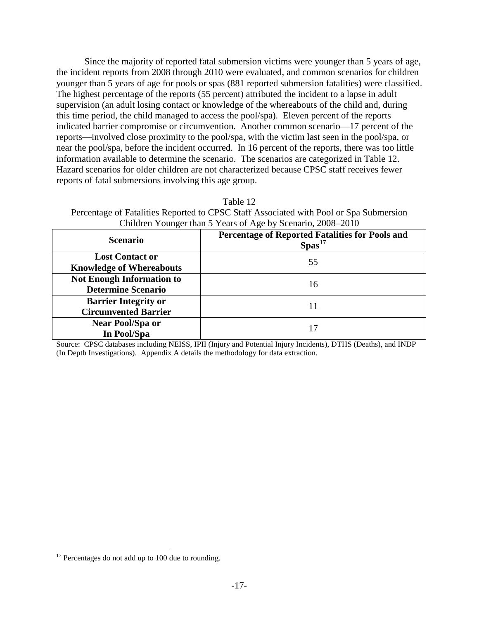Since the majority of reported fatal submersion victims were younger than 5 years of age, the incident reports from 2008 through 2010 were evaluated, and common scenarios for children younger than 5 years of age for pools or spas (881 reported submersion fatalities) were classified. The highest percentage of the reports (55 percent) attributed the incident to a lapse in adult supervision (an adult losing contact or knowledge of the whereabouts of the child and, during this time period, the child managed to access the pool/spa). Eleven percent of the reports indicated barrier compromise or circumvention. Another common scenario—17 percent of the reports—involved close proximity to the pool/spa, with the victim last seen in the pool/spa, or near the pool/spa, before the incident occurred. In 16 percent of the reports, there was too little information available to determine the scenario. The scenarios are categorized in Table 12. Hazard scenarios for older children are not characterized because CPSC staff receives fewer reports of fatal submersions involving this age group.

Table 12 Percentage of Fatalities Reported to CPSC Staff Associated with Pool or Spa Submersion Children Younger than 5 Years of Age by Scenario, 2008–2010

| <b>Scenario</b>                                               | Percentage of Reported Fatalities for Pools and<br>Spas <sup>17</sup> |
|---------------------------------------------------------------|-----------------------------------------------------------------------|
| <b>Lost Contact or</b><br><b>Knowledge of Whereabouts</b>     | 55                                                                    |
| <b>Not Enough Information to</b><br><b>Determine Scenario</b> | 16                                                                    |
| <b>Barrier Integrity or</b><br><b>Circumvented Barrier</b>    | 11                                                                    |
| <b>Near Pool/Spa or</b><br>In Pool/Spa                        |                                                                       |

Source: CPSC databases including NEISS, IPII (Injury and Potential Injury Incidents), DTHS (Deaths), and INDP (In Depth Investigations). Appendix A details the methodology for data extraction.

<span id="page-16-0"></span> $17$  Percentages do not add up to 100 due to rounding.